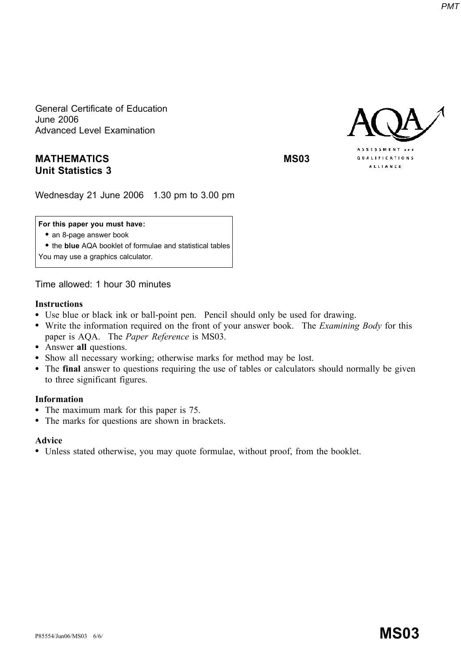General Certificate of Education **June 2006 Advanced Level Examination** 

# **MATHEMATICS Unit Statistics 3**

**MS03** 

**QUALIFICATIONS ALLIANCE** 

Wednesday 21 June 2006 1.30 pm to 3.00 pm

# For this paper you must have:

- an 8-page answer book
- the blue AQA booklet of formulae and statistical tables
- You may use a graphics calculator.

Time allowed: 1 hour 30 minutes

### **Instructions**

- Use blue or black ink or ball-point pen. Pencil should only be used for drawing.
- Write the information required on the front of your answer book. The Examining Body for this paper is AQA. The Paper Reference is MS03.
- Answer all questions.
- Show all necessary working; otherwise marks for method may be lost.
- The final answer to questions requiring the use of tables or calculators should normally be given to three significant figures.

# **Information**

- The maximum mark for this paper is 75.
- The marks for questions are shown in brackets.  $\bullet$

# **Advice**

• Unless stated otherwise, you may quote formulae, without proof, from the booklet.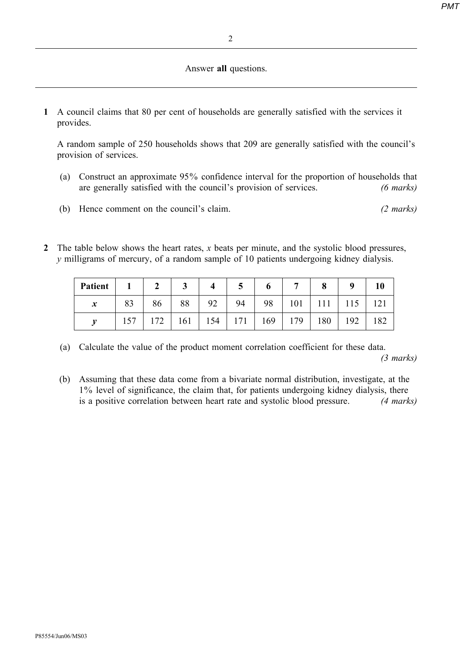**PMT** 

### Answer all questions.

1 A council claims that 80 per cent of households are generally satisfied with the services it provides.

A random sample of 250 households shows that 209 are generally satisfied with the council's provision of services.

- (a) Construct an approximate 95% confidence interval for the proportion of households that are generally satisfied with the council's provision of services.  $(6 \text{ marks})$
- (b) Hence comment on the council's claim.  $(2 \text{ marks})$
- 2 The table below shows the heart rates,  $x$  beats per minute, and the systolic blood pressures,  $\nu$  milligrams of mercury, of a random sample of 10 patients undergoing kidney dialysis.

| Patient          |     |             | ◡   |     |    | O   |     | O   | Q   |                |
|------------------|-----|-------------|-----|-----|----|-----|-----|-----|-----|----------------|
| $\boldsymbol{x}$ | 83  | 86          | 88  | 92  | 94 | 98  | 101 |     | 115 | $\mathcal{D}1$ |
|                  | 157 | 72<br>1 / ∠ | 161 | 154 | 71 | 169 | 179 | 180 | 192 | 182            |

- (a) Calculate the value of the product moment correlation coefficient for these data.  $(3 \text{ marks})$
- (b) Assuming that these data come from a bivariate normal distribution, investigate, at the 1% level of significance, the claim that, for patients undergoing kidney dialysis, there is a positive correlation between heart rate and systolic blood pressure.  $(4 \text{ marks})$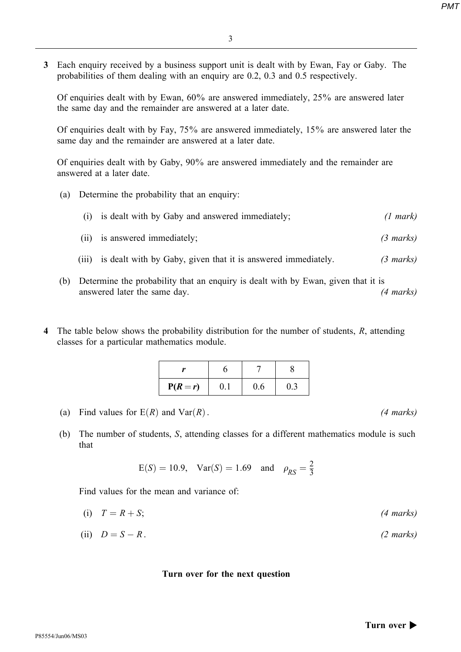**PMT** 

3 Each enquiry received by a business support unit is dealt with by Ewan, Fay or Gaby. The probabilities of them dealing with an enguiry are 0.2, 0.3 and 0.5 respectively.

Of enquiries dealt with by Ewan,  $60\%$  are answered immediately,  $25\%$  are answered later the same day and the remainder are answered at a later date.

Of enquiries dealt with by Fay,  $75\%$  are answered immediately,  $15\%$  are answered later the same day and the remainder are answered at a later date.

Of enquiries dealt with by Gaby, 90% are answered immediately and the remainder are answered at a later date.

(a) Determine the probability that an enquiry:

|       | is dealt with by Gaby and answered immediately;               | (1 mark)            |
|-------|---------------------------------------------------------------|---------------------|
|       | (ii) is answered immediately;                                 | $(3 \text{ marks})$ |
| (iii) | is dealt with by Gaby, given that it is answered immediately. | $(3 \text{ marks})$ |

- (b) Determine the probability that an enquiry is dealt with by Ewan, given that it is answered later the same day.  $(4 \text{ marks})$
- 4 The table below shows the probability distribution for the number of students, R, attending classes for a particular mathematics module.

| $P(R=r)$ | 0.1 | 0.6 | 0.3 |
|----------|-----|-----|-----|

- (a) Find values for  $E(R)$  and  $Var(R)$ .
- (b) The number of students, S, attending classes for a different mathematics module is such that

$$
E(S) = 10.9
$$
,  $Var(S) = 1.69$  and  $\rho_{RS} = \frac{2}{3}$ 

Find values for the mean and variance of:

- (i)  $T = R + S$ :  $(4 \text{ marks})$
- (ii)  $D = S R$ .  $(2 \text{ marks})$

### Turn over for the next question

 $(4 \text{ marks})$